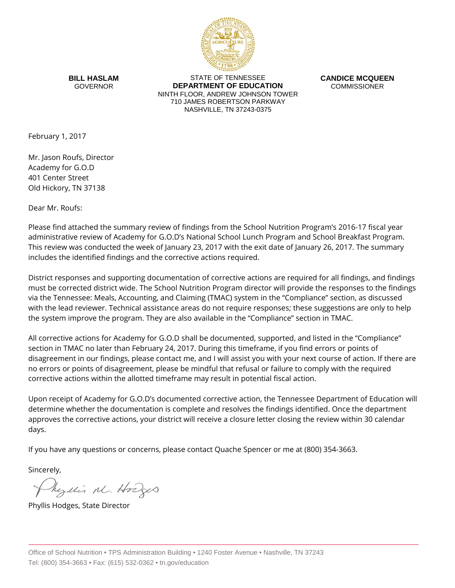

**BILL HASLAM** GOVERNOR

STATE OF TENNESSEE **DEPARTMENT OF EDUCATION** NINTH FLOOR, ANDREW JOHNSON TOWER 710 JAMES ROBERTSON PARKWAY NASHVILLE, TN 37243-0375

**CANDICE MCQUEEN** COMMISSIONER

February 1, 2017

Mr. Jason Roufs, Director Academy for G.O.D 401 Center Street Old Hickory, TN 37138

Dear Mr. Roufs:

Please find attached the summary review of findings from the School Nutrition Program's 2016-17 fiscal year administrative review of Academy for G.O.D's National School Lunch Program and School Breakfast Program. This review was conducted the week of January 23, 2017 with the exit date of January 26, 2017. The summary includes the identified findings and the corrective actions required.

District responses and supporting documentation of corrective actions are required for all findings, and findings must be corrected district wide. The School Nutrition Program director will provide the responses to the findings via the Tennessee: Meals, Accounting, and Claiming (TMAC) system in the "Compliance" section, as discussed with the lead reviewer. Technical assistance areas do not require responses; these suggestions are only to help the system improve the program. They are also available in the "Compliance" section in TMAC.

All corrective actions for Academy for G.O.D shall be documented, supported, and listed in the "Compliance" section in TMAC no later than February 24, 2017. During this timeframe, if you find errors or points of disagreement in our findings, please contact me, and I will assist you with your next course of action. If there are no errors or points of disagreement, please be mindful that refusal or failure to comply with the required corrective actions within the allotted timeframe may result in potential fiscal action.

Upon receipt of Academy for G.O.D's documented corrective action, the Tennessee Department of Education will determine whether the documentation is complete and resolves the findings identified. Once the department approves the corrective actions, your district will receive a closure letter closing the review within 30 calendar days.

If you have any questions or concerns, please contact Quache Spencer or me at (800) 354-3663.

Sincerely,

Myllis M. Hodges

Phyllis Hodges, State Director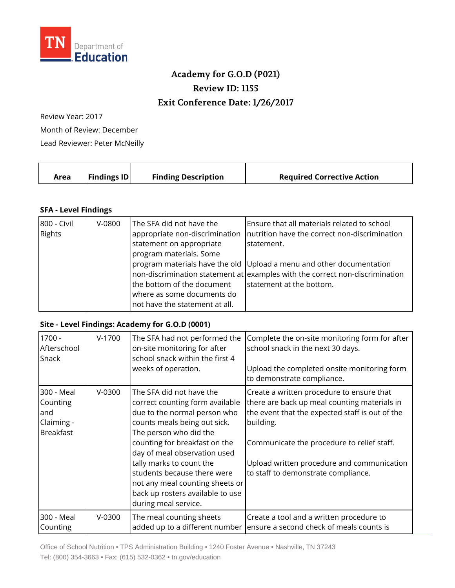

## **Academy for G.O.D (P021) Review ID: 1155 Exit Conference Date: 1/26/2017**

Review Year: 2017 Month of Review: December Lead Reviewer: Peter McNeilly

|  | Area | <b>Findings ID</b> | <b>Finding Description</b> | <b>Required Corrective Action</b> |
|--|------|--------------------|----------------------------|-----------------------------------|
|--|------|--------------------|----------------------------|-----------------------------------|

## **SFA - Level Findings**

| 800 - Civil<br>Rights | $V-0800$ | The SFA did not have the<br>appropriate non-discrimination<br>statement on appropriate<br>program materials. Some | Ensure that all materials related to school<br>Inutrition have the correct non-discrimination<br>statement.                                                                      |
|-----------------------|----------|-------------------------------------------------------------------------------------------------------------------|----------------------------------------------------------------------------------------------------------------------------------------------------------------------------------|
|                       |          | the bottom of the document<br>where as some documents do<br>not have the statement at all.                        | program materials have the old Upload a menu and other documentation<br>non-discrimination statement at examples with the correct non-discrimination<br>statement at the bottom. |

## **Site - Level Findings: Academy for G.O.D (0001)**

| 1700 -<br>Afterschool<br>Snack                                  | $V-1700$ | The SFA had not performed the<br>on-site monitoring for after<br>school snack within the first 4<br>weeks of operation.                                                                                                                                                                                                                                                          | Complete the on-site monitoring form for after<br>school snack in the next 30 days.<br>Upload the completed onsite monitoring form<br>to demonstrate compliance.                                                                                                                             |
|-----------------------------------------------------------------|----------|----------------------------------------------------------------------------------------------------------------------------------------------------------------------------------------------------------------------------------------------------------------------------------------------------------------------------------------------------------------------------------|----------------------------------------------------------------------------------------------------------------------------------------------------------------------------------------------------------------------------------------------------------------------------------------------|
| 300 - Meal<br>Counting<br>and<br>Claiming -<br><b>Breakfast</b> | $V-0300$ | The SFA did not have the<br>correct counting form available<br>due to the normal person who<br>counts meals being out sick.<br>The person who did the<br>counting for breakfast on the<br>day of meal observation used<br>tally marks to count the<br>students because there were<br>not any meal counting sheets or<br>back up rosters available to use<br>during meal service. | Create a written procedure to ensure that<br>there are back up meal counting materials in<br>the event that the expected staff is out of the<br>building.<br>Communicate the procedure to relief staff.<br>Upload written procedure and communication<br>to staff to demonstrate compliance. |
| 300 - Meal<br>Counting                                          | $V-0300$ | The meal counting sheets<br>added up to a different number                                                                                                                                                                                                                                                                                                                       | Create a tool and a written procedure to<br>ensure a second check of meals counts is                                                                                                                                                                                                         |